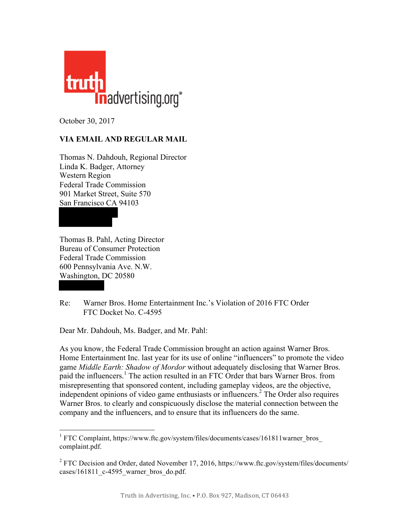

October 30, 2017

## **VIA EMAIL AND REGULAR MAIL**

Thomas N. Dahdouh, Regional Director Linda K. Badger, Attorney Western Region Federal Trade Commission 901 Market Street, Suite 570 San Francisco CA 94103

Thomas B. Pahl, Acting Director Bureau of Consumer Protection Federal Trade Commission 600 Pennsylvania Ave. N.W. Washington, DC 20580

Re: Warner Bros. Home Entertainment Inc.'s Violation of 2016 FTC Order FTC Docket No. C-4595

Dear Mr. Dahdouh, Ms. Badger, and Mr. Pahl:

As you know, the Federal Trade Commission brought an action against Warner Bros. Home Entertainment Inc. last year for its use of online "influencers" to promote the video game *Middle Earth: Shadow of Mordor* without adequately disclosing that Warner Bros. paid the influencers.<sup>1</sup> The action resulted in an FTC Order that bars Warner Bros. from misrepresenting that sponsored content, including gameplay videos, are the objective, independent opinions of video game enthusiasts or influencers. <sup>2</sup> The Order also requires Warner Bros. to clearly and conspicuously disclose the material connection between the company and the influencers, and to ensure that its influencers do the same.

<sup>&</sup>lt;sup>1</sup> FTC Complaint, https://www.ftc.gov/system/files/documents/cases/161811warner\_bros [complaint.pdf.](https://www.ftc.gov/system/files/documents/cases/161811warner_bros_complaint.pdf)

 $2$  FTC Decision and Order, dated November 17, 2016, [https://www.ftc.gov/system/files/documents/](https://www.ftc.gov/system/files/documents/cases/161811_c-4595_warner_bros_do.pdf) [cases/161811\\_c-4595\\_warner\\_bros\\_do.pdf.](https://www.ftc.gov/system/files/documents/cases/161811_c-4595_warner_bros_do.pdf)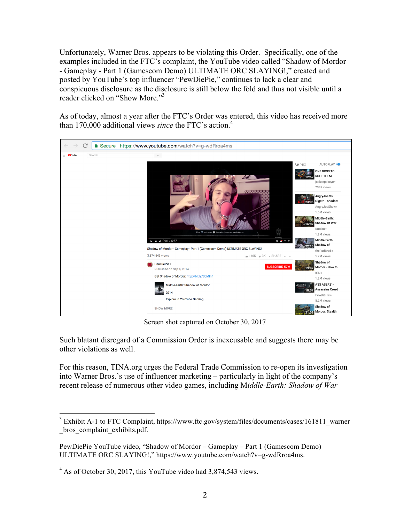Unfortunately, Warner Bros. appears to be violating this Order. Specifically, one of the examples included in the FTC's complaint, the YouTube video called "Shadow of Mordor - Gameplay - Part 1 (Gamescom Demo) ULTIMATE ORC SLAYING!," created and posted by YouTube's top influencer "PewDiePie," continues to lack a clear and conspicuous disclosure as the disclosure is still below the fold and thus not visible until a reader clicked on "Show More."<sup>3</sup>

As of today, almost a year after the FTC's Order was entered, this video has received more than 170,000 additional views *since* the FTC's action. 4



Screen shot captured on October 30, 2017

Such blatant disregard of a Commission Order is inexcusable and suggests there may be other violations as well.

For this reason, TINA.org urges the Federal Trade Commission to re-open its investigation into Warner Bros.'s use of influencer marketing – particularly in light of the company's recent release of numerous other video games, including M*iddle-Earth: Shadow of War* 

<sup>&</sup>lt;sup>3</sup> Exhibit A-1 to FTC Complaint, [https://www.ftc.gov/system/files/documents/cases/161811\\_warner](https://www.ftc.gov/system/files/documents/cases/161811_warner_bros_complaint_exhibits.pdf) bros complaint exhibits.pdf.

PewDiePie YouTube video, "Shadow of Mordor – Gameplay – Part 1 (Gamescom Demo) ULTIMATE ORC SLAYING!," [https://www.youtube.com/watch?v=g-wdRroa4ms.](https://www.youtube.com/watch?v=g-wdRroa4ms)

 $4\text{ As of October } 30, 2017, this YouTube video had } 3,874,543 \text{ views.}$